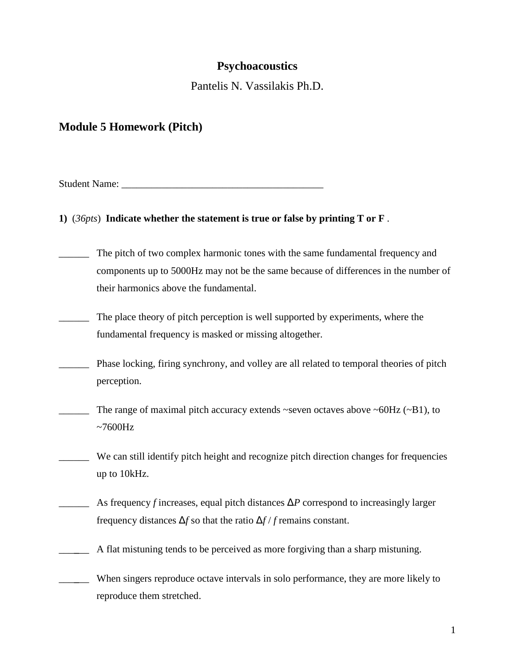## **Psychoacoustics**

Pantelis N. Vassilakis Ph.D.

# **Module 5 Homework (Pitch)**

Student Name:

**1)** (*36pts*) **Indicate whether the statement is true or false by printing T or F** .

- \_\_\_\_\_\_ The pitch of two complex harmonic tones with the same fundamental frequency and components up to 5000Hz may not be the same because of differences in the number of their harmonics above the fundamental.
- The place theory of pitch perception is well supported by experiments, where the fundamental frequency is masked or missing altogether.
- \_\_\_\_\_\_ Phase locking, firing synchrony, and volley are all related to temporal theories of pitch perception.
- $\frac{1}{2}$  The range of maximal pitch accuracy extends ~seven octaves above ~60Hz (~B1), to  $~1000$ Hz
- \_\_\_\_\_\_ We can still identify pitch height and recognize pitch direction changes for frequencies up to 10kHz.
	- $\Delta$  As frequency *f* increases, equal pitch distances  $\Delta P$  correspond to increasingly larger frequency distances Δ*f* so that the ratio Δ*f* / *f* remains constant.
- \_\_\_**\_**\_\_ A flat mistuning tends to be perceived as more forgiving than a sharp mistuning.

\_\_\_**\_**\_\_ When singers reproduce octave intervals in solo performance, they are more likely to reproduce them stretched.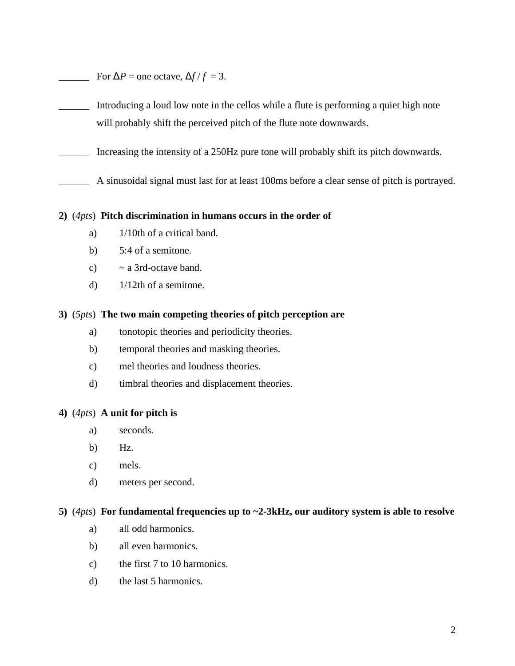- For  $\Delta P$  = one octave,  $\Delta f / f = 3$ .
- \_\_\_\_\_\_ Introducing a loud low note in the cellos while a flute is performing a quiet high note will probably shift the perceived pitch of the flute note downwards.
- \_\_\_\_\_\_ Increasing the intensity of a 250Hz pure tone will probably shift its pitch downwards.
- \_\_\_\_\_\_ A sinusoidal signal must last for at least 100ms before a clear sense of pitch is portrayed.

#### **2)** (*4pts*) **Pitch discrimination in humans occurs in the order of**

- a) 1/10th of a critical band.
- b) 5:4 of a semitone.
- c)  $\sim$  a 3rd-octave band.
- d)  $1/12$ th of a semitone.

#### **3)** (*5pts*) **The two main competing theories of pitch perception are**

- a) tonotopic theories and periodicity theories.
- b) temporal theories and masking theories.
- c) mel theories and loudness theories.
- d) timbral theories and displacement theories.

## **4)** (*4pts*) **A unit for pitch is**

- a) seconds.
- b) Hz.
- c) mels.
- d) meters per second.

#### **5)** (*4pts*) **For fundamental frequencies up to ~2-3kHz, our auditory system is able to resolve**

- a) all odd harmonics.
- b) all even harmonics.
- c) the first 7 to 10 harmonics.
- d) the last 5 harmonics.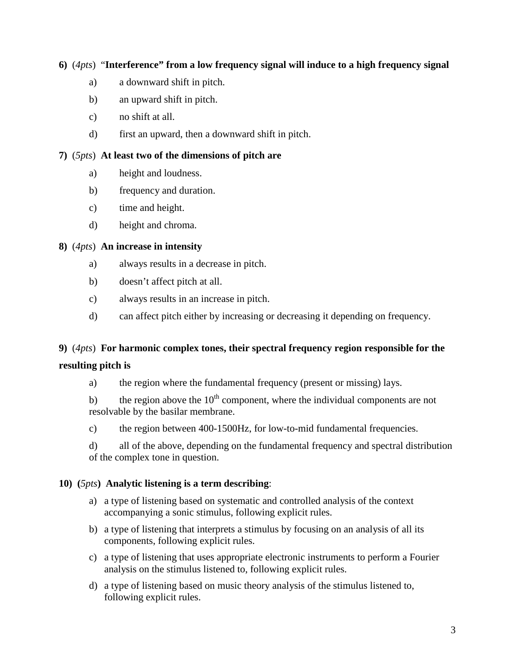## **6)** (*4pts*) "**Interference" from a low frequency signal will induce to a high frequency signal**

- a) a downward shift in pitch.
- b) an upward shift in pitch.
- c) no shift at all.
- d) first an upward, then a downward shift in pitch.

## **7)** (*5pts*) **At least two of the dimensions of pitch are**

- a) height and loudness.
- b) frequency and duration.
- c) time and height.
- d) height and chroma.

## **8)** (*4pts*) **An increase in intensity**

- a) always results in a decrease in pitch.
- b) doesn't affect pitch at all.
- c) always results in an increase in pitch.
- d) can affect pitch either by increasing or decreasing it depending on frequency.

## **9)** (*4pts*) **For harmonic complex tones, their spectral frequency region responsible for the**

## **resulting pitch is**

a) the region where the fundamental frequency (present or missing) lays.

b) the region above the  $10<sup>th</sup>$  component, where the individual components are not resolvable by the basilar membrane.

c) the region between 400-1500Hz, for low-to-mid fundamental frequencies.

d) all of the above, depending on the fundamental frequency and spectral distribution of the complex tone in question.

## **10) (***5pts***) Analytic listening is a term describing**:

- a) a type of listening based on systematic and controlled analysis of the context accompanying a sonic stimulus, following explicit rules.
- b) a type of listening that interprets a stimulus by focusing on an analysis of all its components, following explicit rules.
- c) a type of listening that uses appropriate electronic instruments to perform a Fourier analysis on the stimulus listened to, following explicit rules.
- d) a type of listening based on music theory analysis of the stimulus listened to, following explicit rules.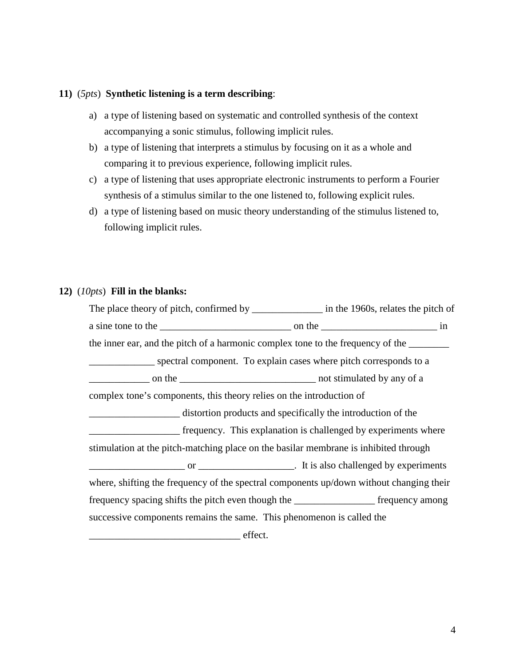#### **11)** (*5pts*) **Synthetic listening is a term describing**:

- a) a type of listening based on systematic and controlled synthesis of the context accompanying a sonic stimulus, following implicit rules.
- b) a type of listening that interprets a stimulus by focusing on it as a whole and comparing it to previous experience, following implicit rules.
- c) a type of listening that uses appropriate electronic instruments to perform a Fourier synthesis of a stimulus similar to the one listened to, following explicit rules.
- d) a type of listening based on music theory understanding of the stimulus listened to, following implicit rules.

#### **12)** (*10pts*) **Fill in the blanks:**

The place theory of pitch, confirmed by \_\_\_\_\_\_\_\_\_\_\_\_\_\_\_ in the 1960s, relates the pitch of a sine tone to the \_\_\_\_\_\_\_\_\_\_\_\_\_\_\_\_\_\_\_\_\_\_\_\_\_\_ on the \_\_\_\_\_\_\_\_\_\_\_\_\_\_\_\_\_\_\_\_\_\_\_ in the inner ear, and the pitch of a harmonic complex tone to the frequency of the \_\_\_\_\_\_\_\_\_\_\_\_\_ spectral component. To explain cases where pitch corresponds to a \_\_\_\_\_\_\_\_\_\_\_\_ on the \_\_\_\_\_\_\_\_\_\_\_\_\_\_\_\_\_\_\_\_\_\_\_\_\_\_\_ not stimulated by any of a complex tone's components, this theory relies on the introduction of \_\_\_\_\_\_\_\_\_\_\_\_\_\_\_\_\_\_ distortion products and specifically the introduction of the \_\_\_\_\_\_\_\_\_\_\_\_\_\_\_\_\_\_ frequency. This explanation is challenged by experiments where stimulation at the pitch-matching place on the basilar membrane is inhibited through \_\_\_\_\_\_\_\_\_\_\_\_\_\_\_\_\_\_\_ or \_\_\_\_\_\_\_\_\_\_\_\_\_\_\_\_\_\_\_. It is also challenged by experiments where, shifting the frequency of the spectral components up/down without changing their frequency spacing shifts the pitch even though the \_\_\_\_\_\_\_\_\_\_\_\_\_\_\_\_ frequency among successive components remains the same. This phenomenon is called the \_\_\_\_\_\_\_\_\_\_\_\_\_\_\_\_\_\_\_\_\_\_\_\_\_\_\_\_\_\_ effect.